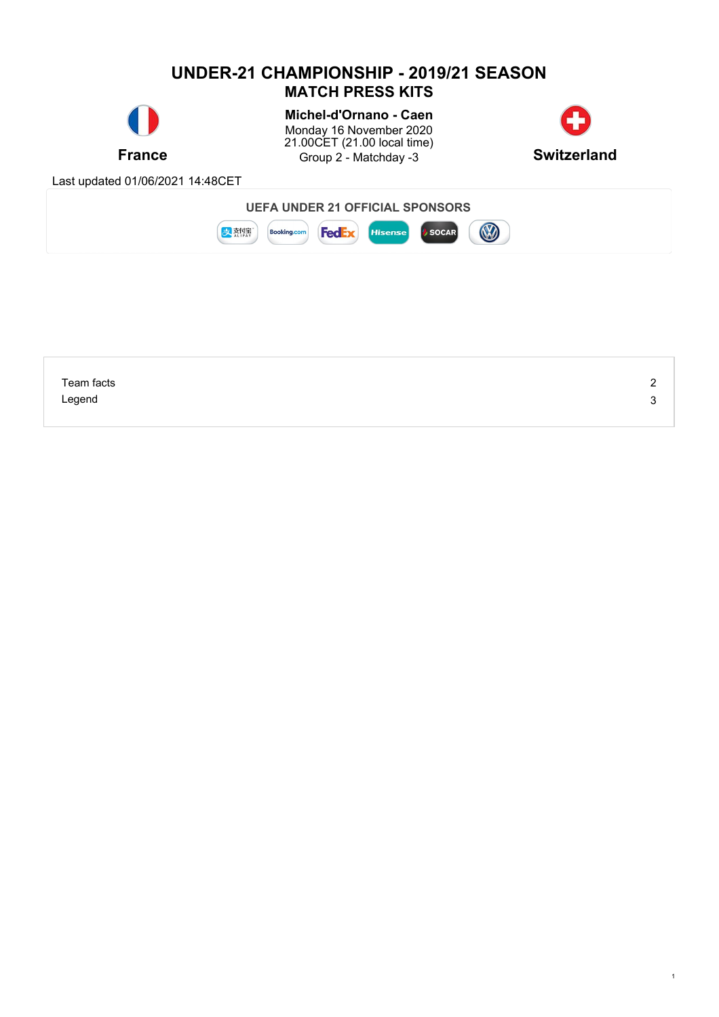

| Team facts |  |
|------------|--|
| Legend     |  |
|            |  |

1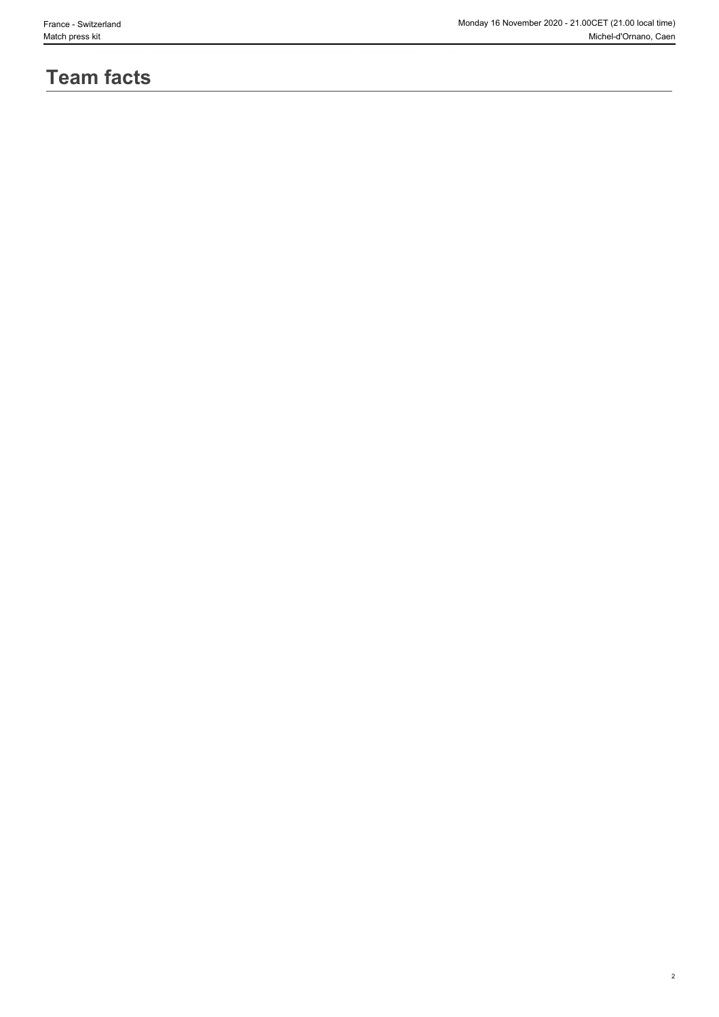2

# **Team facts**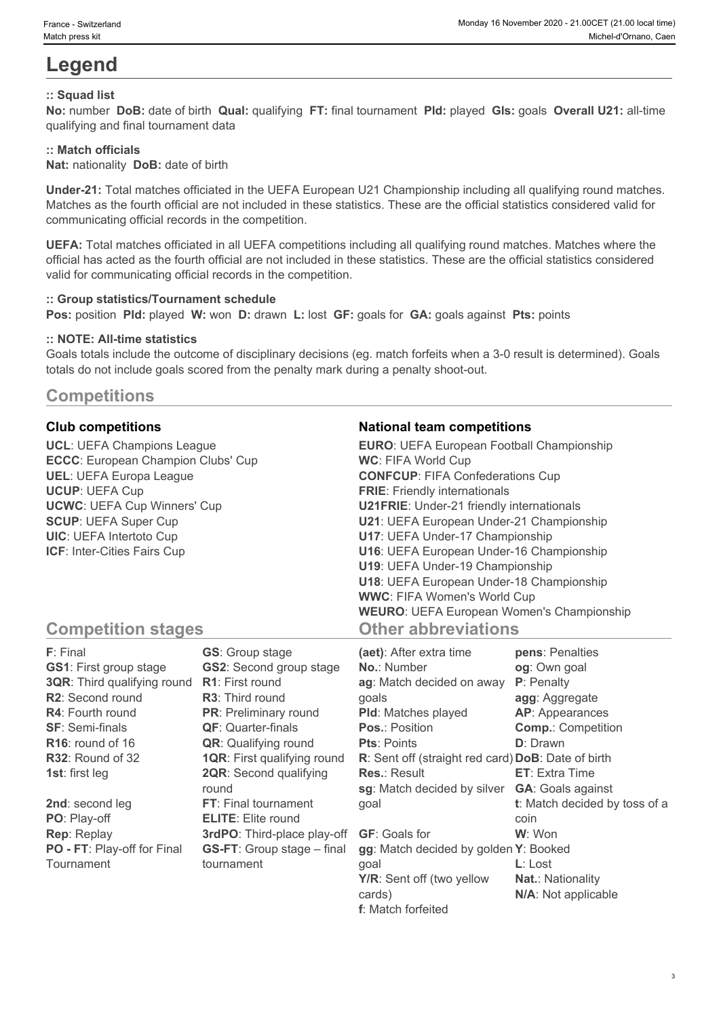# **Legend**

### **:: Squad list**

**No:** number **DoB:** date of birth **Qual:** qualifying **FT:** final tournament **Pld:** played **Gls:** goals **Overall U21:** all-time qualifying and final tournament data

### **:: Match officials**

**Nat:** nationality **DoB:** date of birth

**Under-21:** Total matches officiated in the UEFA European U21 Championship including all qualifying round matches. Matches as the fourth official are not included in these statistics. These are the official statistics considered valid for communicating official records in the competition.

**UEFA:** Total matches officiated in all UEFA competitions including all qualifying round matches. Matches where the official has acted as the fourth official are not included in these statistics. These are the official statistics considered valid for communicating official records in the competition.

#### **:: Group statistics/Tournament schedule**

**Pos:** position **Pld:** played **W:** won **D:** drawn **L:** lost **GF:** goals for **GA:** goals against **Pts:** points

#### **:: NOTE: All-time statistics**

Goals totals include the outcome of disciplinary decisions (eg. match forfeits when a 3-0 result is determined). Goals totals do not include goals scored from the penalty mark during a penalty shoot-out.

## **Competitions**

|  | Club competitions |  |
|--|-------------------|--|
|  |                   |  |

**UCL**: UEFA Champions League **ECCC**: European Champion Clubs' Cup **UEL**: UEFA Europa League **UCUP**: UEFA Cup **UCWC**: UEFA Cup Winners' Cup **SCUP**: UEFA Super Cup **UIC**: UEFA Intertoto Cup **ICF**: Inter-Cities Fairs Cup

#### **Club competitions National team competitions**

| <b>EURO:</b> UEFA European Football Championship |  |
|--------------------------------------------------|--|
| <b>WC: FIFA World Cup</b>                        |  |
| <b>CONFCUP: FIFA Confederations Cup</b>          |  |
| <b>FRIE:</b> Friendly internationals             |  |
| <b>U21FRIE:</b> Under-21 friendly internationals |  |
| U21: UEFA European Under-21 Championship         |  |
| U17: UEFA Under-17 Championship                  |  |
| U16: UEFA European Under-16 Championship         |  |
| U19: UEFA Under-19 Championship                  |  |
| U18: UEFA European Under-18 Championship         |  |
| <b>WWC: FIFA Women's World Cup</b>               |  |
| <b>WEURO:</b> UEFA European Women's Championship |  |
| <b>Other abbreviations</b>                       |  |

## **Competition stages**

| F: Final                           | <b>GS:</b> Group stage             | (aet): After extra time                            | pens: Penalties               |
|------------------------------------|------------------------------------|----------------------------------------------------|-------------------------------|
| <b>GS1: First group stage</b>      | <b>GS2:</b> Second group stage     | <b>No.: Number</b>                                 | og: Own goal                  |
| <b>3QR:</b> Third qualifying round | <b>R1:</b> First round             | ag: Match decided on away                          | <b>P</b> : Penalty            |
| R2: Second round                   | <b>R3:</b> Third round             | qoals                                              | agg: Aggregate                |
| <b>R4:</b> Fourth round            | <b>PR:</b> Preliminary round       | <b>PId:</b> Matches played                         | AP: Appearances               |
| <b>SF: Semi-finals</b>             | <b>QF:</b> Quarter-finals          | <b>Pos.: Position</b>                              | <b>Comp.: Competition</b>     |
| $R16$ : round of 16                | <b>QR:</b> Qualifying round        | <b>Pts: Points</b>                                 | <b>D</b> : Drawn              |
| R32: Round of 32                   | <b>1QR: First qualifying round</b> | R: Sent off (straight red card) DoB: Date of birth |                               |
| <b>1st:</b> first leg              | <b>2QR:</b> Second qualifying      | <b>Res.: Result</b>                                | <b>ET:</b> Extra Time         |
|                                    | round                              | sg: Match decided by silver                        | <b>GA:</b> Goals against      |
| 2nd: second leg                    | FT: Final tournament               | qoal                                               | t: Match decided by toss of a |
| PO: Play-off                       | <b>ELITE:</b> Elite round          |                                                    | coin                          |
| <b>Rep: Replay</b>                 | 3rdPO: Third-place play-off        | <b>GF:</b> Goals for                               | W: Won                        |
| PO - FT: Play-off for Final        | <b>GS-FT:</b> Group stage – final  | gg: Match decided by golden Y: Booked              |                               |
| Tournament                         | tournament                         | qoal                                               | $L:$ Lost                     |
|                                    |                                    | Y/R: Sent off (two yellow                          | <b>Nat.: Nationality</b>      |
|                                    |                                    | cards)                                             | N/A: Not applicable           |

**f**: Match forfeited